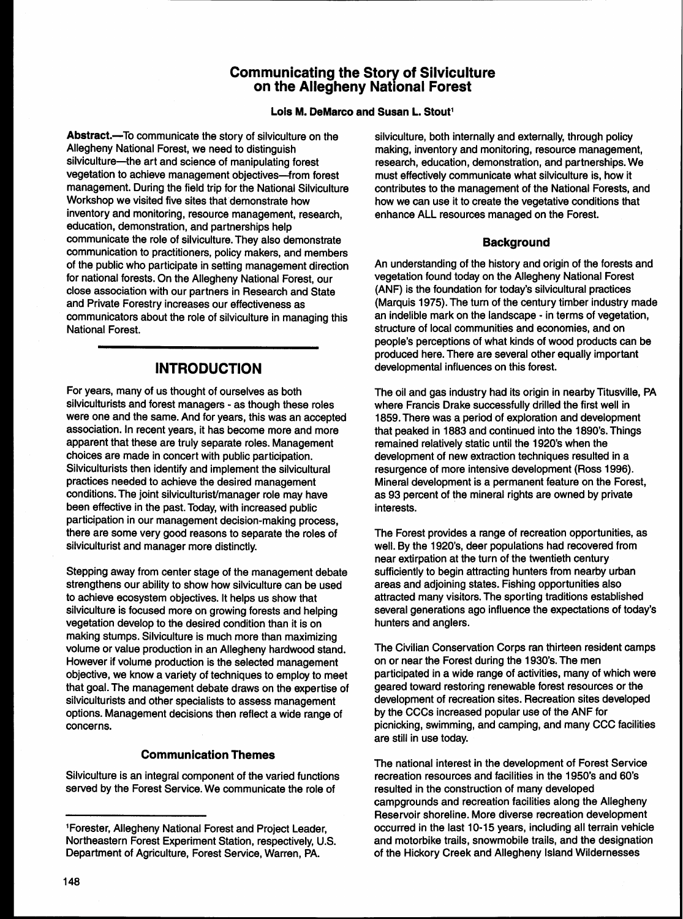## **Communicating the Story of Silviculture on the Allegheny National Forest**

### Lois M. DeMarco and Susan L. Stout<sup>1</sup>

Abstract.-To communicate the story of silviculture on the Allegheny National Forest, we need to distinguish silviculture-the art and science of manipulating forest vegetation to achieve management objectives-from forest management. During the field trip for the National Silviculture Workshop we visited five sites that demonstrate how inventory and monitoring, resource management, research, education, demonstration, and partnerships help communicate the role of silviculture. They also demonstrate communication to practitioners, policy makers, and members of the public who participate in setting management direction for national forests. On the Allegheny National Forest, our close association with our partners in Research and State and Private Forestry increases our effectiveness as communicators about the role of silviculture in managing this National Forest.

For years, many of us thought of ourselves as both silviculturists and forest managers - as though these roles were one and the same. And for years, this was an accepted association. In recent years, it has become more and more apparent that these are truly separate roles. Management choices are made in concert with public participation. Silviculturists then identify and implement the silvicultural practices needed to achieve the desired management conditions. The joint silviculturist/manager role may have been effective in the past. Today, with increased public participation in our management decision-making process, there are some very good reasons to separate the roles of silviculturist and manager more distinctly.

Stepping away from center stage of the management debate strengthens our ability to show how silviculture can be used to achieve ecosystem objectives. It helps us show that silviculture is focused more on growing forests and helping vegetation develop to the desired condition than it is on making stumps. Silviculture is much more than maximizing volume or value production in an Allegheny hardwood stand. However if volume production is the selected management objective, we know a variety of techniques to employ to meet that goal. The management debate draws on the expertise of silviculturists and other specialists to assess management options. Management decisions then reflect a wide range of concerns.

Silviculture is an integral component of the varied functions recreation resources and facilities in the 1950's and 60's served by the Forest Service. We communicate the role of resulted in the construction of many developed

silviculture, both internally and externally, through policy making, inventory and monitoring, resource management, research, education, demonstration, and partnerships. We must effectively communicate what silviculture is, how it contributes to the management of the National Forests, and how we can use it to create the vegetative conditions that enhance ALL resources managed on the Forest.

### **Background**

An understanding of the history and origin of the forests and vegetation found today on the Allegheny National Forest (ANF) is the foundation for today's silvicultural practices (Marquis 1975). The turn of the century timber industry made an indelible mark on the landscape - in terms of vegetation, structure of local communities and economies, and on people's perceptions of what kinds of wood products can be produced here. There are several other equally important **INTRODUCTION developmental influences on this forest.** 

> The oil and gas industry had its origin in nearby Titusville, PA where Francis Drake successfully drilled the first well in 1859. There was a period of exploration and development that peaked in 1883 and continued into the 1890's. Things remained relatively static until the 1920's when the development of new extraction techniques resulted in a resurgence of more intensive development (Ross 1996). Mineral development is a permanent feature on the Forest, as 93 percent of the mineral rights are owned by private interests.

> The Forest provides a range of recreation opportunities, as well. By the 1920's, deer populations had recovered from near extirpation at the turn of the twentieth century sufficiently to begin attracting hunters from nearby urban areas and adjoining states. Fishing opportunities also attracted many visitors. The sporting traditions established several generations ago influence the expectations of today's hunters and anglers.

> The Civilian Conservation Corps ran thirteen resident camps on or near the Forest during the 1930's. The men participated in a wide range of activities, many of which were geared toward restoring renewable forest resources or the development of recreation sites. Recreation sites developed by the CCCs increased popular use of the ANF for picnicking, swimming, and camping, and many CCC facilities are still in use today.

**Communication Themes** The national interest in the development of Forest Service campgrounds and recreation facilities along the Allegheny Reservoir shoreline. More diverse recreation development <sup>1</sup>Forester, Allegheny National Forest and Project Leader, occurred in the last 10-15 years, including all terrain vehicle Northeastern Forest Experiment Station, respectively, U.S. and motorbike trails, snowmobile trails, and the designation<br>Department of Agriculture, Forest Service, Warren, PA. 6. of the Hickory Creek and Allegheny Island Wi of the Hickory Creek and Allegheny Island Wildernesses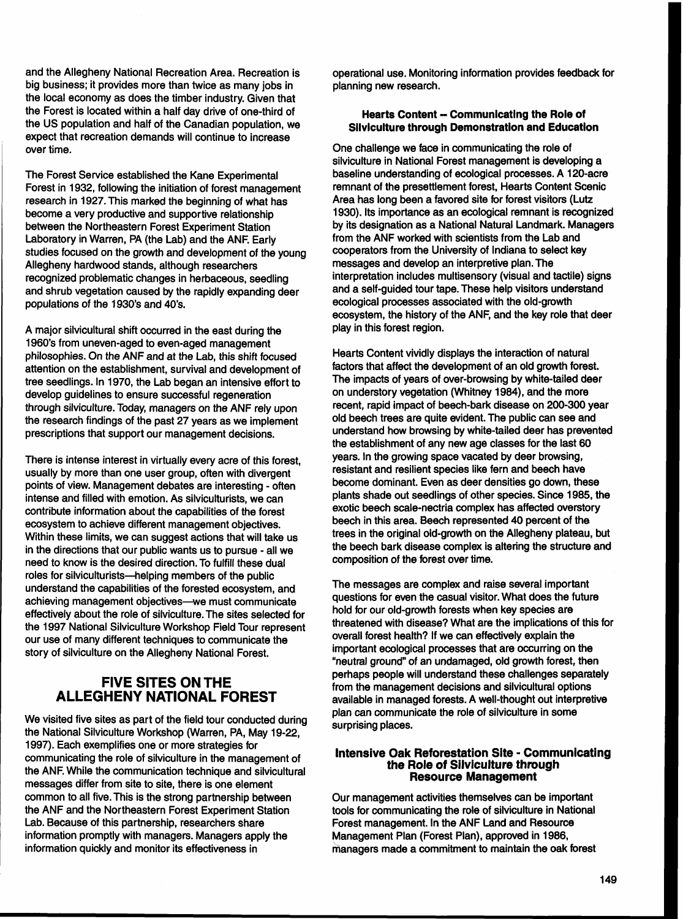and the Allegheny National Recreation Area. Recreation is big business; it provides more than twice as many jobs in the local economy as does the timber industry. Given that the Forest is located within a half day drive of one-third of the US population and half of the Canadian population, we expect that recreation demands will continue to increase over time.

The Forest Service established the Kane Experimental Forest in 1932, following the initiation of forest management research in 1927. This marked the beginning of what has become a very productive and supportive relationship between the Northeastern Forest Experiment Station Laboratory in Warren, PA (the Lab) and the ANF. Early studies focused on the growth and development of the young Allegheny hardwood stands, although researchers recognized problematic changes in herbaceous, seedling and shrub vegetation caused by the rapidly expanding deer populations of the 1930's and 40's.

A major silvicultural shift occurred in the east during the 1960's from uneven-aged to even-aged management philosophies. On the ANF and at the Lab, this shift focused attention on the establishment, survival and development of tree seedlings. In 1970, the Lab began an intensive effort to develop guidelines to ensure successful regeneration through silviculture. Today, managers on the ANF rely upon the research findings of the past 27 years as we implement prescriptions that support our management decisions.

There is intense interest in virtually every acre of this forest, usually by more than one user group, often with divergent points of view. Management debates are interesting - often intense and filled with emotion. As silviculturists, we can contribute information about the capabilities of the forest ecosystem to achieve different management objectives. Within these limits, we can suggest actions that will take us in the directions that our public wants us to pursue - all we need to know is the desired direction. To fulfill these dual roles for silviculturists-helping members of the public understand the capabilities of the forested ecosystem, and achieving management objectives--we must communicate effectively about the role of silviculture. The sites selected for the 1997 National Silviculture Workshop Field Tour represent our use of many different techniques to communicate the story of silviculture on the Allegheny National Forest.

# **FIVE SITES ON THE ALLEGHENY NATIONAL FOREST**

We visited five sites as part of the field tour conducted during the National Silviculture Workshop (Warren, PA, May 19-22, 1997). Each exemplifies one or more strategies for communicating the role of silviculture in the management of the ANF. While the communication technique and silvicultural messages differ from site to site, there is one element common to all five. This is the strong partnership between the ANF and the Northeastern Forest Experiment Station Lab. Because of this partnership, researchers share information promptly with managers. Managers apply the information quickly and monitor its effectiveness in

operational use. Monitoring information provides feedback for planning new research.

### **Hearts Content - Communicating the Role of Silviculture through Demonstration and Education**

One challenge we face in communicating the role of silviculture in National Forest management is developing a baseline understanding of ecological processes. A 120-acre remnant of the presettlement forest, Hearts Content Scenic Area has long been a favored site for forest visitors (Lutz 1930). Its importance as an ecological remnant is recognized by its designation as a National Natural Landmark. Managers from the ANF worked with scientists from the Lab and cooperators from the University of Indiana to select key messages and develop an interpretive plan. The interpretation includes multisensory (visual and tactile) signs and a self-guided tour tape. These help visitors understand ecological processes associated with the old-growth ecosystem, the history of the ANF, and the key role that deer play in this forest region.

Hearts Content vividly displays the interaction of natural factors that affect the development of an old growth forest. The impacts of years of over-browsing by white-tailed deer on understory vegetation (Whitney 1984), and the more recent, rapid impact of beech-bark disease on 200-300 year old beech trees are quite evident. The public can see and understand how browsing by white-tailed deer has prevented the establishment of any new age classes for the last 60 years. In the growing space vacated by deer browsing, resistant and resilient species like fern and beech have become dominant. Even as deer densities go down, these plants shade out seedlings of other species. Since 1985, the exotic beech scale-nectria complex has affected overstory beech in this area. Beech represented 40 percent of the trees in the original old-growth on the Allegheny plateau, but the beech bark disease complex is altering the structure and composition of the forest over time.

The messages are complex and raise several important questions for even the casual visitor. What does the future hold for our old-growth forests when key species are threatened with disease? What are the implications of this for overall forest health? If we can effectively explain the important ecological processes that are occurring on the "neutral ground" of an undamaged, old growth forest, then perhaps people will understand these challenges separately from the management decisions and silvicultural options available in managed forests. A well-thought out interpretive plan can communicate the role of silviculture in some surprising places.

# **Intensive Oak Reforestation Site** - **Communicating the Role of Silviculture through Resource Management**

Our management activities themselves can be important tools for communicating the role of silviculture in National Forest management. In the ANF Land and Resource Management Plan (Forest Plan), approved in 1986, managers made a commitment to maintain the oak forest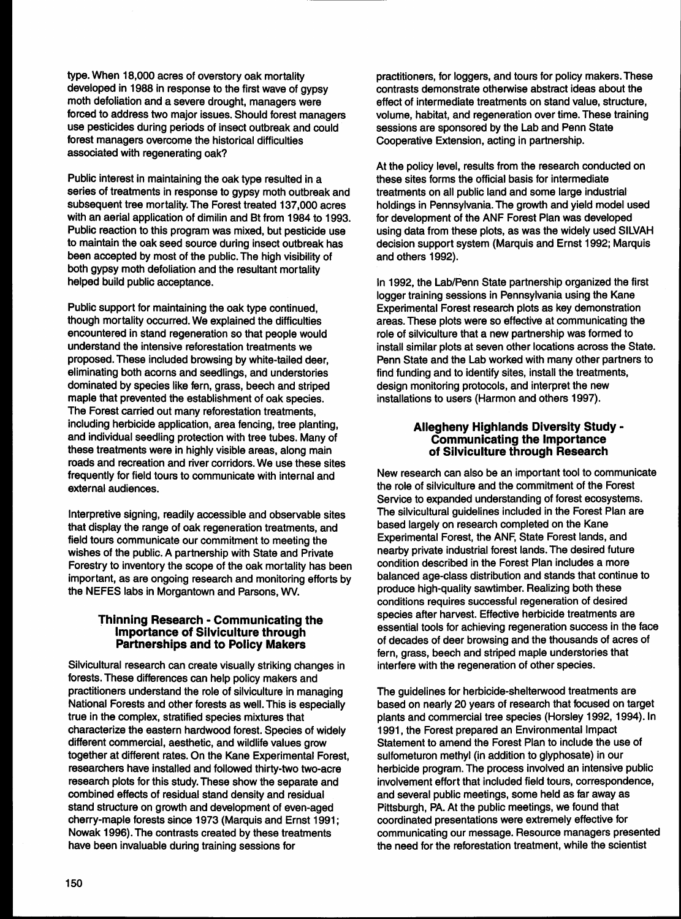type. When 18,000 acres of overstory oak mortality developed in 1988 in response to the first wave of gypsy moth defoliation and a severe drought, managers were forced to address two major issues. Should forest managers use pesticides during periods of insect outbreak and could forest managers overcome the historical difficulties associated with regenerating oak?

Public interest in maintaining the oak type resulted in a series of treatments in response to gypsy moth outbreak and subsequent tree mortality. The Forest treated 137,000 acres with an aerial application of dimilin and Bt from 1984 to 1993. Public reaction to this program was mixed, but pesticide use to maintain the oak seed source during insect outbreak has been accepted by most of the public. The high visibility of both gypsy moth defoliation and the resultant mortality helped build public acceptance.

Public support for maintaining the oak type continued, though mortality occurred. We explained the difficulties encountered in stand regeneration so that people would understand the intensive reforestation treatments we proposed. These included browsing by white-tailed deer, eliminating both acorns and seedlings, and understories dominated by species like fern, grass, beech and striped maple that prevented the establishment of oak species. The Forest carried out many reforestation treatments, including herbicide application, area fencing, tree planting, and individual seedling protection with tree tubes. Many of these treatments were in highly visible areas, along main roads and recreation and river corridors. We use these sites frequently for field tours to communicate with internal and external audiences.

Interpretive signing, readily accessible and observable sites that display the range of oak regeneration treatments, and field tours communicate our commitment to meeting the wishes of the public. A partnership with State and Private Forestry to inventory the scope of the oak mortality has been important, as are ongoing research and monitoring efforts by the NEFES labs in Morgantown and Parsons, **WV.** 

### **Thinning Research** - **Communicating the lmportance of Silviculture through Partnerships and to Policy Makers**

Silvicultural research can create visually striking changes in forests. These differences can help policy makers and practitioners understand the role of silviculture in managing National Forests and other forests as well. This is especially true in the complex, stratified species mixtures that characterize the eastern hardwood forest. Species of widely different commercial, aesthetic, and wildlife values grow together at different rates. On the Kane Experimental Forest, researchers have installed and followed thirty-two two-acre research plots for this study. These show the separate and combined effects of residual stand density and residual stand structure on growth and development of even-aged cherry-maple forests since 1973 (Marquis and Ernst 1991; Nowak 1996). The contrasts created by these treatments have been invaluable during training sessions for

practitioners, for loggers, and tours for policy makers. These contrasts demonstrate otherwise abstract ideas about the effect of intermediate treatments on stand value, structure, volume, habitat, and regeneration over time. These training sessions are sponsored by the Lab and Penn State Cooperative Extension, acting in partnership.

At the policy level, results from the research conducted on these sites forms the official basis for intermediate treatments on all public land and some large industrial holdings in Pennsylvania. The growth and yield model used for development of the ANF Forest Plan was developed using data from these plots, as was the widely used SILVAH decision support system (Marquis and Ernst 1992; Marquis and others 1992).

In 1992, the Lab/Penn State partnership organized the first logger training sessions in Pennsylvania using the Kane Experimental Forest research plots as key demonstration areas. These plots were so effective at communicating the role of silviculture that a new partnership was formed to install similar plots at seven other locations across the State. Penn State and the Lab worked with many other partners to find funding and to identify sites, install the treatments, design monitoring protocols, and interpret the new installations to users (Harmon and others 1997).

### **Allegheny Highlands Diversity Study** - **Communicating the lmportance of Silviculture through Research**

New research can also be an important tool to communicate the role of silviculture and the commitment of the Forest Service to expanded understanding of forest ecosystems. The silvicultural guidelines included in the Forest Plan are based largely on research completed on the Kane Experimental Forest, the ANF, State Forest lands, and nearby private industrial forest lands. The desired future condition described in the Forest Plan includes a more balanced age-class distribution and stands that continue to produce high-quality sawtimber. Realizing both these conditions requires successful regeneration of desired species after harvest. Effective herbicide treatments are essential tools for achieving regeneration success in the face of decades of deer browsing and the thousands of acres of fern, grass, beech and striped maple understories that interfere with the regeneration of other species.

The guidelines for herbicide-shelterwood treatments are based on nearly 20 years of research that focused on target plants and commercial tree species (Horsley 1992, 1994). In 1991, the Forest prepared an Environmental Impact Statement to amend the Forest Plan to include the use of sulfometuron methyl (in addition to glyphosate) in our herbicide program. The process involved an intensive public involvement effort that included field tours, correspondence, and several public meetings, some held as far away as Pittsburgh, PA. At the public meetings, we found that coordinated presentations were extremely effective for communicating our message. Resource managers presented the need for the reforestation treatment, while the scientist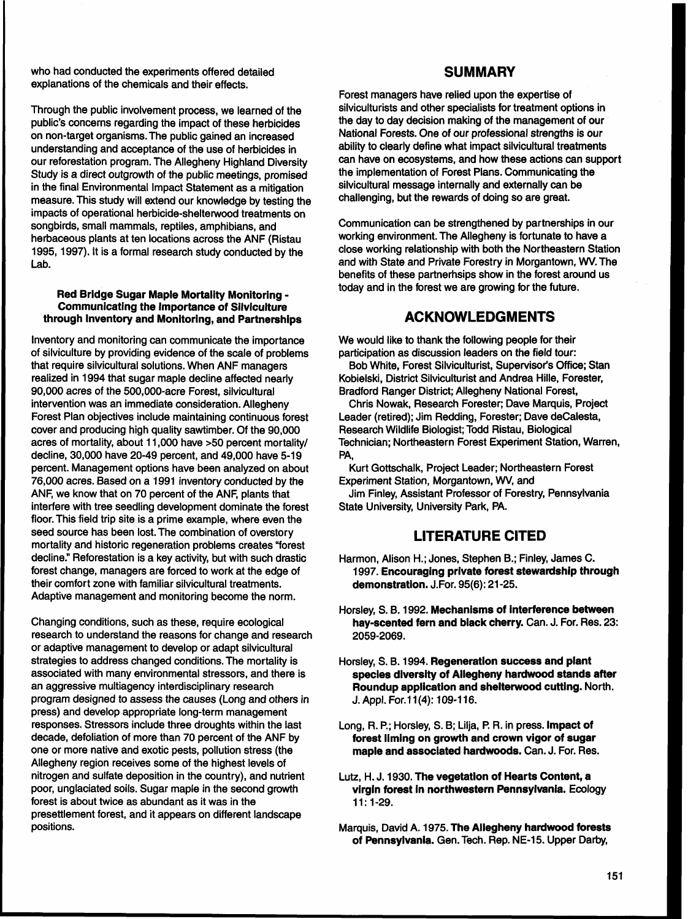who had conducted the experiments offered detailed explanations of the chemicals and their effects.

Through the public involvement process, we learned of the public's concerns regarding the impact of these herbicides on non-target organisms. The public gained an increased understanding and acceptance of the use of herbicides in our reforestation program. The Allegheny Highland Diversity Study is a direct outgrowth of the public meetings, promised in the final Environmental Impact Statement as a mitigation measure. This study will extend our knowledge by testing the impacts of operational herbicide-shelterwood treatments on songbirds, small mammals, reptiles, amphibians, and herbaceous plants at ten locations across the ANF (Ristau 1995, 1997). It is a formal research study conducted by the Lab.

### **Red Bridge Sugar Maple Mortality Monitoring** - **Communicating the Importance of Silviculture through Inventory and Monitoring, and Partnerships**

lnventory and monitoring can communicate the importance of silviculture by providing evidence of the scale of problems that require silvicultural solutions. When ANF managers realized in 1994 that sugar maple decline affected nearly 90,000 acres of the 500,000-acre Forest, silvicultural intervention was an immediate consideration. Allegheny Forest Plan objectives include maintaining continuous forest cover and producing high quality sawtimber. Of the 90,000 acres of mortality, about 11,000 have >50 percent mortality/ decline, 30,000 have 20-49 percent, and 49,000 have 5-19 percent. Management options have been analyzed on about 76,000 acres. Based on a 1991 inventory conducted by the ANF, we know that on 70 percent of the ANF, plants that interfere with tree seedling development dominate the forest floor. This field trip site is a prime example, where even the seed source has been lost. The combination of overstory mortality and historic regeneration problems creates "forest decline." Reforestation is a key activity, but with such drastic forest change, managers are forced to work at the edge of their comfort zone with familiar silvicultural treatments. Adaptive management and monitoring become the norm.

Changing conditions, such as these, require ecological research to understand the reasons for change and research or adaptive management to develop or adapt silvicultural strategies to address changed conditions. The mortality is associated with many environmental stressors, and there is an aggressive multiagency interdisciplinary research program designed to assess the causes (Long and others in press) and develop appropriate long-term management responses. Stressors include three droughts within the last decade, defoliation of more than 70 percent of the ANF by one or more native and exotic pests, pollution stress (the Allegheny region receives some of the highest levels of nitrogen and sulfate deposition in the country), and nutrient poor, unglaciated soils. Sugar maple in the second growth forest is about twice as abundant as it was in the presettlement forest, and it appears on different landscape positions.

## **SUMMARY**

Forest managers have relied upon the expertise of silviculturists and other specialists for treatment options in the day to day decision making of the management of our National Forests. One of our professional strengths is our ability to clearly define what impact silvicultural treatments can have on ecosystems, and how these actions can support the implementation of Forest Plans. Communicating the silvicultural message internally and externally can be challenging, but the rewards of doing so are great.

Communication can be strengthened by partnerships in our working environment. The Allegheny is fortunate to have a close working relationship with both the Northeastern Station and with State and Private Forestry in Morgantown, **WV.** The benefits of these partnerhsips show in the forest around us today and in the forest we are growing for the future.

## **ACKNOWLEDGMENTS**

We would like to thank the following people for their participation as discussion leaders on the field tour:

Bob White, Forest Silviculturist, Supervisor's Office; Stan Kobielski, District Silviculturist and Andrea Hille, Forester, Bradford Ranger District; Allegheny National Forest,

Chris Nowak, Research Forester; Dave Marquis, Project Leader (retired); Jim Redding, Forester; Dave deCalesta, Research Wildlife Biologist; Todd Ristau, Biological Technician; Northeastern Forest Experiment Station, Warren, PA,

Kurt Gottschalk, Project Leader; Northeastern Forest Experiment Station, Morgantown, **WV,** and

Jim Finley, Assistant Professor of Forestry, Pennsylvania State University, University Park, PA.

# **LITERATURE CITED**

- Harmon, Alison H.; Jones, Stephen B.; Finley, James C. 1997. **Encouraging private forest stewardship through demonstration.** J.For. 95(6): 21 -25.
- Horsley, S. 8.1992. **Mechanisms of interference between hay-scented fern and black cherry.** Can. J. For. Res. 23: 2059-2069.
- Horsley, S. B. 1994. **Regeneration success and plant species diversity of Allegheny hardwood stands after Roundup application and shelterwood cutting.** North. J. Appl. For. 11(4): 109-116.
- Long, R. P.; Horsley, S. B; Lilja, **P.** R. in press. **lmpact of forest liming on growth and crown vigor of sugar maple and associated hardwoods.** Can. J. For. Res.
- Lutz, H. J. 1930. **The vegetation of Hearts Content, a virgin forest in northwestern Pennsylvania.** Ecology 11: 1-29.
- Marquis, David A. 1975. **The Allegheny hardwood forests of Pennsylvania.** Gen. Tech. Rep. NE-15. Upper Darby,